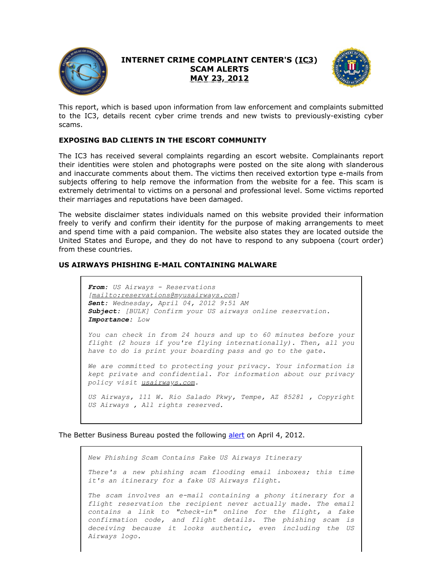

## **INTERNET CRIME COMPLAINT CENTER'S (IC3) SCAM ALERTS MAY 23, 2012**



This report, which is based upon information from law enforcement and complaints submitted to the IC3, details recent cyber crime trends and new twists to previously-existing cyber scams.

## **EXPOSING BAD CLIENTS IN THE ESCORT COMMUNITY**

The IC3 has received several complaints regarding an escort website. Complainants report their identities were stolen and photographs were posted on the site along with slanderous and inaccurate comments about them. The victims then received extortion type e-mails from subjects offering to help remove the information from the website for a fee. This scam is extremely detrimental to victims on a personal and professional level. Some victims reported their marriages and reputations have been damaged.

The website disclaimer states individuals named on this website provided their information freely to verify and confirm their identity for the purpose of making arrangements to meet and spend time with a paid companion. The website also states they are located outside the United States and Europe, and they do not have to respond to any subpoena (court order) from these countries.

## **US AIRWAYS PHISHING E-MAIL CONTAINING MALWARE**

*From: US Airways - Reservations [mailto:reservations@myusairways.com] Sent: Wednesday, April 04, 2012 9:51 AM Subject: [BULK] Confirm your US airways online reservation. Importance: Low*

*You can check in from 24 hours and up to 60 minutes before your flight (2 hours if you're flying internationally). Then, all you have to do is print your boarding pass and go to the gate.*

*We are committed to protecting your privacy. Your information is kept private and confidential. For information about our privacy policy visit usairways.com.*

*US Airways, 111 W. Rio Salado Pkwy, Tempe, AZ 85281 , Copyright US Airways , All rights reserved.*

The Better Business Bureau posted the following [alert](https://www.ic3.gov/egress.aspx?u=http%3a%2f%2fwww.bbb.org%2fblog%2f2012%2f04%2fnew-phishing-scam-contains-fake-us-airways-itinerary%2f&h=C70C640CFC1168E6932D3E44E4B52013A96486448C334E16B17C351C45CC7886) on April 4, 2012.

*New Phishing Scam Contains Fake US Airways Itinerary*

*There's a new phishing scam flooding email inboxes; this time it's an itinerary for a fake US Airways flight.*

*The scam involves an e-mail containing a phony itinerary for a flight reservation the recipient never actually made. The email contains a link to "check-in" online for the flight, a fake confirmation code, and flight details. The phishing scam is deceiving because it looks authentic, even including the US Airways logo.*